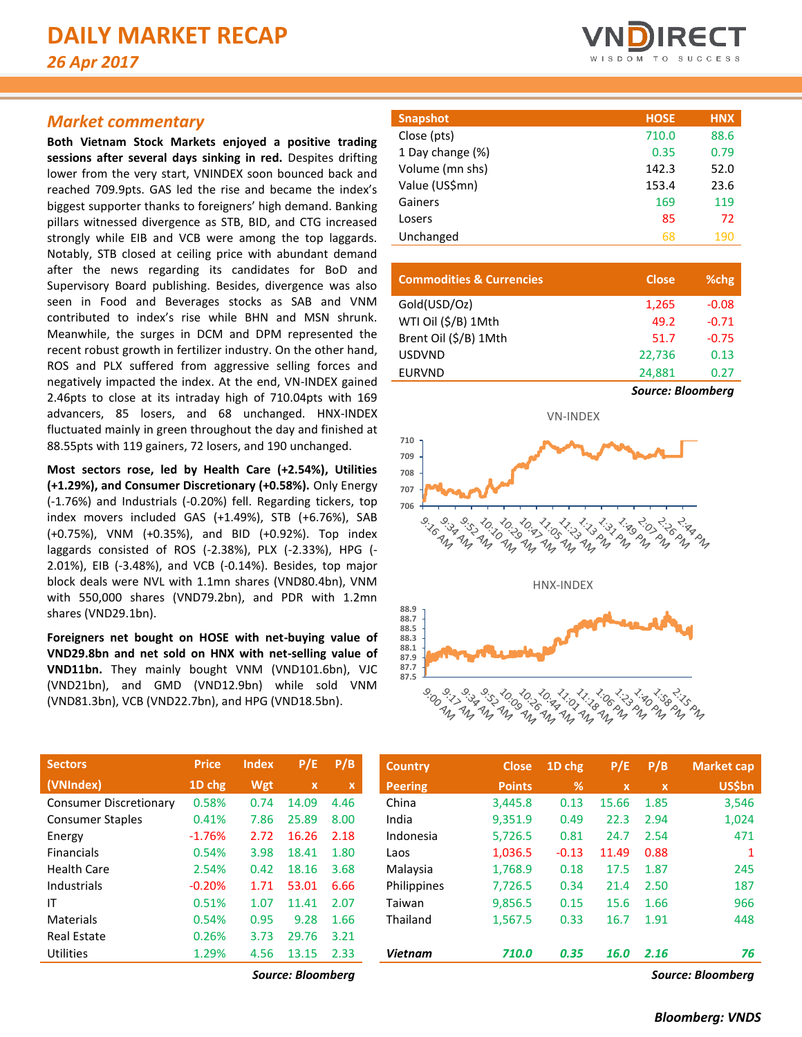# *Market commentary*

**Both Vietnam Stock Markets enjoyed a positive trading sessions after several days sinking in red.** Despites drifting lower from the very start, VNINDEX soon bounced back and reached 709.9pts. GAS led the rise and became the index's biggest supporter thanks to foreigners' high demand. Banking pillars witnessed divergence as STB, BID, and CTG increased strongly while EIB and VCB were among the top laggards. Notably, STB closed at ceiling price with abundant demand after the news regarding its candidates for BoD and Supervisory Board publishing. Besides, divergence was also seen in Food and Beverages stocks as SAB and VNM contributed to index's rise while BHN and MSN shrunk. Meanwhile, the surges in DCM and DPM represented the recent robust growth in fertilizer industry. On the other hand, ROS and PLX suffered from aggressive selling forces and negatively impacted the index. At the end, VN-INDEX gained 2.46pts to close at its intraday high of 710.04pts with 169 advancers, 85 losers, and 68 unchanged. HNX-INDEX fluctuated mainly in green throughout the day and finished at 88.55pts with 119 gainers, 72 losers, and 190 unchanged.

**Most sectors rose, led by Health Care (+2.54%), Utilities (+1.29%), and Consumer Discretionary (+0.58%).** Only Energy (-1.76%) and Industrials (-0.20%) fell. Regarding tickers, top index movers included GAS (+1.49%), STB (+6.76%), SAB (+0.75%), VNM (+0.35%), and BID (+0.92%). Top index laggards consisted of ROS (-2.38%), PLX (-2.33%), HPG (- 2.01%), EIB (-3.48%), and VCB (-0.14%). Besides, top major block deals were NVL with 1.1mn shares (VND80.4bn), VNM with 550,000 shares (VND79.2bn), and PDR with 1.2mn shares (VND29.1bn).

**Foreigners net bought on HOSE with net-buying value of VND29.8bn and net sold on HNX with net-selling value of VND11bn.** They mainly bought VNM (VND101.6bn), VJC (VND21bn), and GMD (VND12.9bn) while sold VNM (VND81.3bn), VCB (VND22.7bn), and HPG (VND18.5bn).

| <b>HOSE</b> | <b>HNX</b> |
|-------------|------------|
| 710.0       | 88.6       |
| 0.35        | 0.79       |
| 142.3       | 52.0       |
| 153.4       | 23.6       |
| 169         | 119        |
|             |            |

Losers 2012 and 2012 and 2012 and 2012 and 2012 and 2012 and 2012 and 2012 and 2012 and 2012 and 201 Unchanged 68 190

| <b>Commodities &amp; Currencies</b> | <b>Close</b>      | %chg    |
|-------------------------------------|-------------------|---------|
| Gold(USD/Oz)                        | 1,265             | $-0.08$ |
| WTI Oil (\$/B) 1Mth                 | 49.2              | $-0.71$ |
| Brent Oil (\$/B) 1Mth               | 51.7              | $-0.75$ |
| <b>USDVND</b>                       | 22,736            | 0.13    |
| <b>EURVND</b>                       | 24,881            | 0.27    |
|                                     | Source: Bloombera |         |



| <b>Sectors</b>                | <b>Price</b> | <b>Index</b> | P/E         | P/B  |
|-------------------------------|--------------|--------------|-------------|------|
| (VNIndex)                     | 1D chg       | <b>Wgt</b>   | $\mathbf x$ | x    |
| <b>Consumer Discretionary</b> | 0.58%        | 0.74         | 14.09       | 4.46 |
| <b>Consumer Staples</b>       | 0.41%        | 7.86         | 25.89       | 8.00 |
| Energy                        | $-1.76%$     | 2.72         | 16.26       | 2.18 |
| <b>Financials</b>             | 0.54%        | 3.98         | 18.41       | 1.80 |
| Health Care                   | 2.54%        | 0.42         | 18.16       | 3.68 |
| Industrials                   | $-0.20%$     | 1.71         | 53.01       | 6.66 |
| ΙT                            | 0.51%        | 1.07         | 11.41       | 2.07 |
| Materials                     | 0.54%        | 0.95         | 9.28        | 1.66 |
| Real Estate                   | 0.26%        | 3.73         | 29.76       | 3.21 |
| <b>Utilities</b>              | 1.29%        | 4.56         | 13.15       | 2.33 |

| <b>Sectors</b>                | <b>Price</b> | <b>Index</b> | P/E               | P/B  | <b>Country</b> | <b>Close</b>  | 1D chg  | P/E          | P/B  | <b>Market cap</b> |
|-------------------------------|--------------|--------------|-------------------|------|----------------|---------------|---------|--------------|------|-------------------|
| (VNIndex)                     | 1D chg       | Wgt          | X                 | x    | <b>Peering</b> | <b>Points</b> | %       | $\mathbf{x}$ | x    | <b>US\$bn</b>     |
| <b>Consumer Discretionary</b> | 0.58%        | 0.74         | 14.09             | 4.46 | China          | 3,445.8       | 0.13    | 15.66        | 1.85 | 3,546             |
| Consumer Staples              | 0.41%        | 7.86         | 25.89             | 8.00 | India          | 9,351.9       | 0.49    | 22.3         | 2.94 | 1,024             |
| Energy                        | $-1.76%$     | 2.72         | 16.26             | 2.18 | Indonesia      | 5,726.5       | 0.81    | 24.7         | 2.54 | 471               |
| <b>Financials</b>             | 0.54%        | 3.98         | 18.41             | 1.80 | Laos           | 1,036.5       | $-0.13$ | 11.49        | 0.88 |                   |
| Health Care                   | 2.54%        | 0.42         | 18.16             | 3.68 | Malaysia       | 1,768.9       | 0.18    | 17.5         | 1.87 | 245               |
| Industrials                   | $-0.20%$     | 1.71         | 53.01             | 6.66 | Philippines    | 7,726.5       | 0.34    | 21.4         | 2.50 | 187               |
| ΙT                            | 0.51%        | 1.07         | 11.41             | 2.07 | Taiwan         | 9,856.5       | 0.15    | 15.6         | 1.66 | 966               |
| Materials                     | 0.54%        | 0.95         | 9.28              | 1.66 | Thailand       | 1,567.5       | 0.33    | 16.7         | 1.91 | 448               |
| <b>Real Estate</b>            | 0.26%        | 3.73         | 29.76             | 3.21 |                |               |         |              |      |                   |
| Utilities                     | 1.29%        | 4.56         | 13.15             | 2.33 | <b>Vietnam</b> | 710.0         | 0.35    | <b>16.0</b>  | 2.16 | 76                |
|                               |              |              | Source: Bloombera |      |                |               |         |              |      | Source: Bloombera |

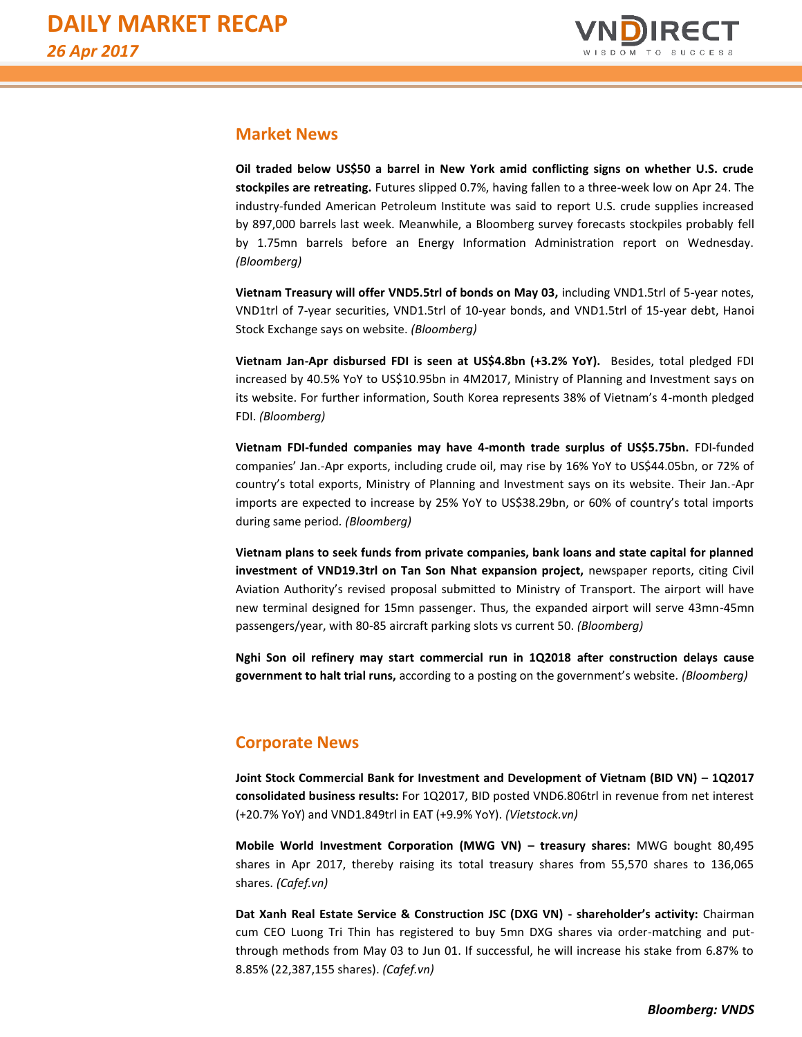

# **Market News**

**Oil traded below US\$50 a barrel in New York amid conflicting signs on whether U.S. crude stockpiles are retreating.** Futures slipped 0.7%, having fallen to a three-week low on Apr 24. The industry-funded American Petroleum Institute was said to report U.S. crude supplies increased by 897,000 barrels last week. Meanwhile, a Bloomberg survey forecasts stockpiles probably fell by 1.75mn barrels before an Energy Information Administration report on Wednesday. *(Bloomberg)*

**Vietnam Treasury will offer VND5.5trl of bonds on May 03,** including VND1.5trl of 5-year notes, VND1trl of 7-year securities, VND1.5trl of 10-year bonds, and VND1.5trl of 15-year debt, Hanoi Stock Exchange says on website. *(Bloomberg)*

**Vietnam Jan-Apr disbursed FDI is seen at US\$4.8bn (+3.2% YoY).** Besides, total pledged FDI increased by 40.5% YoY to US\$10.95bn in 4M2017, Ministry of Planning and Investment says on its website. For further information, South Korea represents 38% of Vietnam's 4-month pledged FDI. *(Bloomberg)*

**Vietnam FDI-funded companies may have 4-month trade surplus of US\$5.75bn.** FDI-funded companies' Jan.-Apr exports, including crude oil, may rise by 16% YoY to US\$44.05bn, or 72% of country's total exports, Ministry of Planning and Investment says on its website. Their Jan.-Apr imports are expected to increase by 25% YoY to US\$38.29bn, or 60% of country's total imports during same period*. (Bloomberg)*

**Vietnam plans to seek funds from private companies, bank loans and state capital for planned investment of VND19.3trl on Tan Son Nhat expansion project,** newspaper reports, citing Civil Aviation Authority's revised proposal submitted to Ministry of Transport. The airport will have new terminal designed for 15mn passenger. Thus, the expanded airport will serve 43mn-45mn passengers/year, with 80-85 aircraft parking slots vs current 50. *(Bloomberg)*

**Nghi Son oil refinery may start commercial run in 1Q2018 after construction delays cause government to halt trial runs,** according to a posting on the government's website*. (Bloomberg)*

# **Corporate News**

**Joint Stock Commercial Bank for Investment and Development of Vietnam (BID VN) – 1Q2017 consolidated business results:** For 1Q2017, BID posted VND6.806trl in revenue from net interest (+20.7% YoY) and VND1.849trl in EAT (+9.9% YoY). *(Vietstock.vn)*

**Mobile World Investment Corporation (MWG VN) – treasury shares:** MWG bought 80,495 shares in Apr 2017, thereby raising its total treasury shares from 55,570 shares to 136,065 shares. *(Cafef.vn)*

**Dat Xanh Real Estate Service & Construction JSC (DXG VN) - shareholder's activity:** Chairman cum CEO Luong Tri Thin has registered to buy 5mn DXG shares via order-matching and putthrough methods from May 03 to Jun 01. If successful, he will increase his stake from 6.87% to 8.85% (22,387,155 shares). *(Cafef.vn)*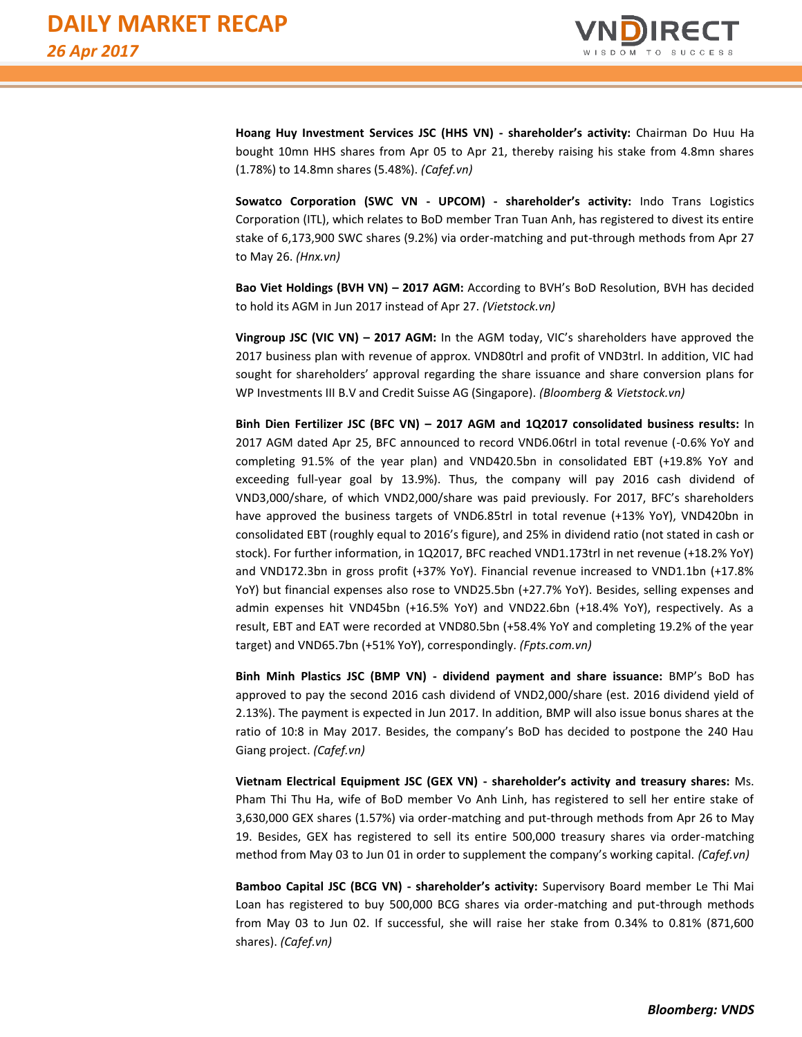

**Hoang Huy Investment Services JSC (HHS VN) - shareholder's activity:** Chairman Do Huu Ha bought 10mn HHS shares from Apr 05 to Apr 21, thereby raising his stake from 4.8mn shares (1.78%) to 14.8mn shares (5.48%). *(Cafef.vn)*

**Sowatco Corporation (SWC VN - UPCOM) - shareholder's activity:** Indo Trans Logistics Corporation (ITL), which relates to BoD member Tran Tuan Anh, has registered to divest its entire stake of 6,173,900 SWC shares (9.2%) via order-matching and put-through methods from Apr 27 to May 26. *(Hnx.vn)*

**Bao Viet Holdings (BVH VN) – 2017 AGM:** According to BVH's BoD Resolution, BVH has decided to hold its AGM in Jun 2017 instead of Apr 27. *(Vietstock.vn)*

**Vingroup JSC (VIC VN) – 2017 AGM:** In the AGM today, VIC's shareholders have approved the 2017 business plan with revenue of approx. VND80trl and profit of VND3trl. In addition, VIC had sought for shareholders' approval regarding the share issuance and share conversion plans for WP Investments III B.V and Credit Suisse AG (Singapore). *(Bloomberg & Vietstock.vn)*

**Binh Dien Fertilizer JSC (BFC VN) – 2017 AGM and 1Q2017 consolidated business results:** In 2017 AGM dated Apr 25, BFC announced to record VND6.06trl in total revenue (-0.6% YoY and completing 91.5% of the year plan) and VND420.5bn in consolidated EBT (+19.8% YoY and exceeding full-year goal by 13.9%). Thus, the company will pay 2016 cash dividend of VND3,000/share, of which VND2,000/share was paid previously. For 2017, BFC's shareholders have approved the business targets of VND6.85trl in total revenue (+13% YoY), VND420bn in consolidated EBT (roughly equal to 2016's figure), and 25% in dividend ratio (not stated in cash or stock). For further information, in 1Q2017, BFC reached VND1.173trl in net revenue (+18.2% YoY) and VND172.3bn in gross profit (+37% YoY). Financial revenue increased to VND1.1bn (+17.8% YoY) but financial expenses also rose to VND25.5bn (+27.7% YoY). Besides, selling expenses and admin expenses hit VND45bn (+16.5% YoY) and VND22.6bn (+18.4% YoY), respectively. As a result, EBT and EAT were recorded at VND80.5bn (+58.4% YoY and completing 19.2% of the year target) and VND65.7bn (+51% YoY), correspondingly. *(Fpts.com.vn)*

**Binh Minh Plastics JSC (BMP VN) - dividend payment and share issuance:** BMP's BoD has approved to pay the second 2016 cash dividend of VND2,000/share (est. 2016 dividend yield of 2.13%). The payment is expected in Jun 2017. In addition, BMP will also issue bonus shares at the ratio of 10:8 in May 2017. Besides, the company's BoD has decided to postpone the 240 Hau Giang project. *(Cafef.vn)*

**Vietnam Electrical Equipment JSC (GEX VN) - shareholder's activity and treasury shares:** Ms. Pham Thi Thu Ha, wife of BoD member Vo Anh Linh, has registered to sell her entire stake of 3,630,000 GEX shares (1.57%) via order-matching and put-through methods from Apr 26 to May 19. Besides, GEX has registered to sell its entire 500,000 treasury shares via order-matching method from May 03 to Jun 01 in order to supplement the company's working capital. *(Cafef.vn)*

**Bamboo Capital JSC (BCG VN) - shareholder's activity:** Supervisory Board member Le Thi Mai Loan has registered to buy 500,000 BCG shares via order-matching and put-through methods from May 03 to Jun 02. If successful, she will raise her stake from 0.34% to 0.81% (871,600 shares). *(Cafef.vn)*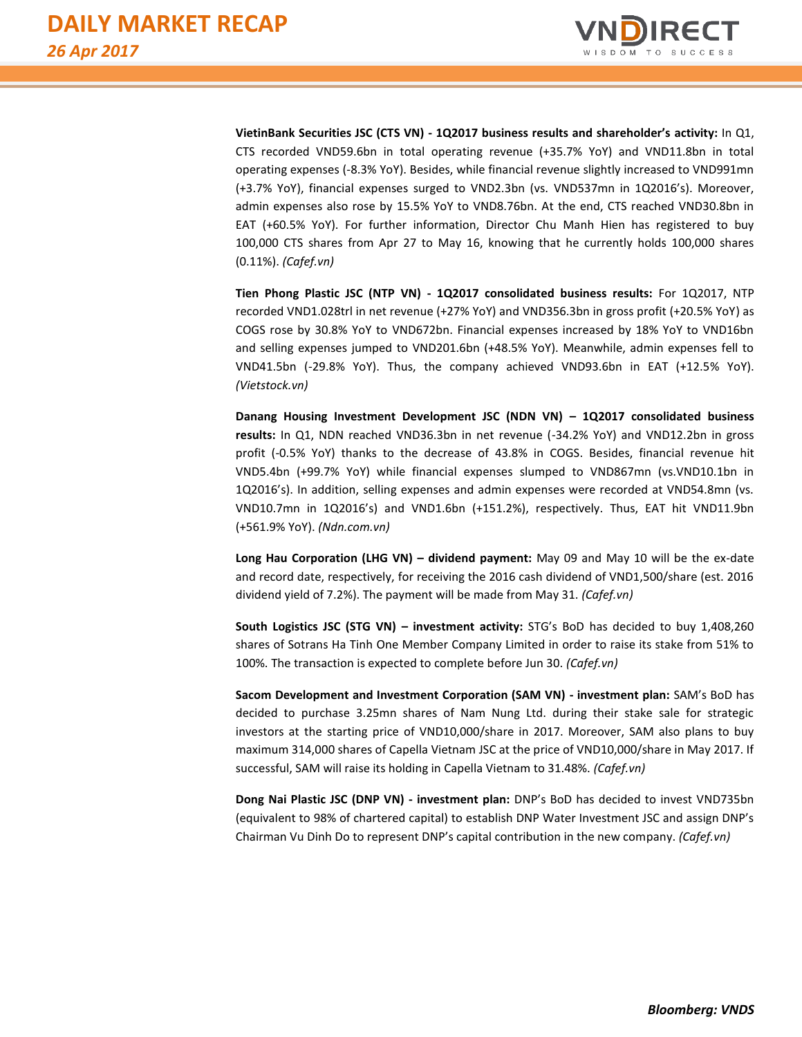

**VietinBank Securities JSC (CTS VN) - 1Q2017 business results and shareholder's activity:** In Q1, CTS recorded VND59.6bn in total operating revenue (+35.7% YoY) and VND11.8bn in total operating expenses (-8.3% YoY). Besides, while financial revenue slightly increased to VND991mn (+3.7% YoY), financial expenses surged to VND2.3bn (vs. VND537mn in 1Q2016's). Moreover, admin expenses also rose by 15.5% YoY to VND8.76bn. At the end, CTS reached VND30.8bn in EAT (+60.5% YoY). For further information, Director Chu Manh Hien has registered to buy 100,000 CTS shares from Apr 27 to May 16, knowing that he currently holds 100,000 shares (0.11%). *(Cafef.vn)*

**Tien Phong Plastic JSC (NTP VN) - 1Q2017 consolidated business results:** For 1Q2017, NTP recorded VND1.028trl in net revenue (+27% YoY) and VND356.3bn in gross profit (+20.5% YoY) as COGS rose by 30.8% YoY to VND672bn. Financial expenses increased by 18% YoY to VND16bn and selling expenses jumped to VND201.6bn (+48.5% YoY). Meanwhile, admin expenses fell to VND41.5bn (-29.8% YoY). Thus, the company achieved VND93.6bn in EAT (+12.5% YoY). *(Vietstock.vn)*

**Danang Housing Investment Development JSC (NDN VN) – 1Q2017 consolidated business results:** In Q1, NDN reached VND36.3bn in net revenue (-34.2% YoY) and VND12.2bn in gross profit (-0.5% YoY) thanks to the decrease of 43.8% in COGS. Besides, financial revenue hit VND5.4bn (+99.7% YoY) while financial expenses slumped to VND867mn (vs.VND10.1bn in 1Q2016's). In addition, selling expenses and admin expenses were recorded at VND54.8mn (vs. VND10.7mn in 1Q2016's) and VND1.6bn (+151.2%), respectively. Thus, EAT hit VND11.9bn (+561.9% YoY). *(Ndn.com.vn)*

**Long Hau Corporation (LHG VN) – dividend payment:** May 09 and May 10 will be the ex-date and record date, respectively, for receiving the 2016 cash dividend of VND1,500/share (est. 2016 dividend yield of 7.2%). The payment will be made from May 31. *(Cafef.vn)*

**South Logistics JSC (STG VN) – investment activity:** STG's BoD has decided to buy 1,408,260 shares of Sotrans Ha Tinh One Member Company Limited in order to raise its stake from 51% to 100%. The transaction is expected to complete before Jun 30. *(Cafef.vn)*

**Sacom Development and Investment Corporation (SAM VN) - investment plan:** SAM's BoD has decided to purchase 3.25mn shares of Nam Nung Ltd. during their stake sale for strategic investors at the starting price of VND10,000/share in 2017. Moreover, SAM also plans to buy maximum 314,000 shares of Capella Vietnam JSC at the price of VND10,000/share in May 2017. If successful, SAM will raise its holding in Capella Vietnam to 31.48%. *(Cafef.vn)*

**Dong Nai Plastic JSC (DNP VN) - investment plan:** DNP's BoD has decided to invest VND735bn (equivalent to 98% of chartered capital) to establish DNP Water Investment JSC and assign DNP's Chairman Vu Dinh Do to represent DNP's capital contribution in the new company. *(Cafef.vn)*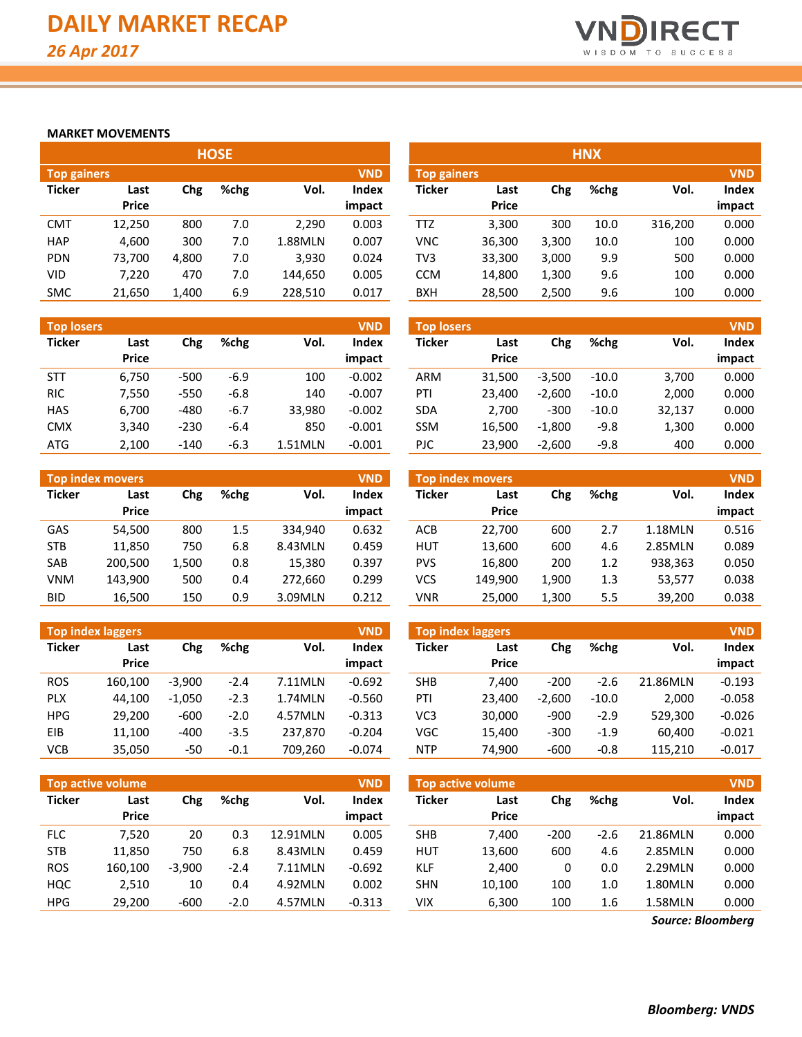

### **MARKET MOVEMENTS**

|                    |              |       | <b>HOSE</b> |         |              |                    |              |       | <b>HNX</b> |         |            |
|--------------------|--------------|-------|-------------|---------|--------------|--------------------|--------------|-------|------------|---------|------------|
| <b>Top gainers</b> |              |       |             |         | <b>VND</b>   | <b>Top gainers</b> |              |       |            |         | <b>VND</b> |
| <b>Ticker</b>      | Last         | Chg   | %chg        | Vol.    | <b>Index</b> | <b>Ticker</b>      | Last         | Chg   | %chg       | Vol.    | Index      |
|                    | <b>Price</b> |       |             |         | impact       |                    | <b>Price</b> |       |            |         | impact     |
| <b>CMT</b>         | 12,250       | 800   | 7.0         | 2,290   | 0.003        | TTZ                | 3.300        | 300   | 10.0       | 316,200 | 0.000      |
| <b>HAP</b>         | 4,600        | 300   | 7.0         | 1.88MLN | 0.007        | <b>VNC</b>         | 36,300       | 3,300 | 10.0       | 100     | 0.000      |
| <b>PDN</b>         | 73,700       | 4,800 | 7.0         | 3,930   | 0.024        | TV <sub>3</sub>    | 33,300       | 3,000 | 9.9        | 500     | 0.000      |
| VID                | 7,220        | 470   | 7.0         | 144.650 | 0.005        | <b>CCM</b>         | 14,800       | 1,300 | 9.6        | 100     | 0.000      |
| <b>SMC</b>         | 21.650       | 1,400 | 6.9         | 228,510 | 0.017        | <b>BXH</b>         | 28,500       | 2,500 | 9.6        | 100     | 0.000      |

| <b>Top losers</b> |              |        |        |         | <b>VND</b>   |
|-------------------|--------------|--------|--------|---------|--------------|
| <b>Ticker</b>     | Last         | Chg    | %chg   | Vol.    | <b>Index</b> |
|                   | <b>Price</b> |        |        |         | impact       |
| <b>STT</b>        | 6,750        | $-500$ | $-6.9$ | 100     | $-0.002$     |
| <b>RIC</b>        | 7,550        | $-550$ | $-6.8$ | 140     | $-0.007$     |
| <b>HAS</b>        | 6,700        | -480   | $-6.7$ | 33,980  | $-0.002$     |
| <b>CMX</b>        | 3,340        | $-230$ | $-6.4$ | 850     | $-0.001$     |
| <b>ATG</b>        | 2,100        | $-140$ | $-6.3$ | 1.51MLN | $-0.001$     |

| <b>Top index movers</b> |              |       |         |         |        |  |  |  |  |  |  |
|-------------------------|--------------|-------|---------|---------|--------|--|--|--|--|--|--|
| <b>Ticker</b>           | Last         | Chg   | %chg    | Vol.    | Index  |  |  |  |  |  |  |
|                         | <b>Price</b> |       |         |         | impact |  |  |  |  |  |  |
| GAS                     | 54,500       | 800   | $1.5\,$ | 334,940 | 0.632  |  |  |  |  |  |  |
| <b>STB</b>              | 11,850       | 750   | 6.8     | 8.43MLN | 0.459  |  |  |  |  |  |  |
| <b>SAB</b>              | 200,500      | 1,500 | 0.8     | 15,380  | 0.397  |  |  |  |  |  |  |
| <b>VNM</b>              | 143,900      | 500   | 0.4     | 272,660 | 0.299  |  |  |  |  |  |  |
| BID                     | 16,500       | 150   | 0.9     | 3.09MLN | 0.212  |  |  |  |  |  |  |

| <b>Top index laggers</b><br><b>VND</b> |              |          |              |         |              |  |  |  |  |  |  |  |  |
|----------------------------------------|--------------|----------|--------------|---------|--------------|--|--|--|--|--|--|--|--|
| <b>Ticker</b>                          | Last         | Chg      | %chg<br>Vol. |         | <b>Index</b> |  |  |  |  |  |  |  |  |
|                                        | <b>Price</b> |          |              |         | impact       |  |  |  |  |  |  |  |  |
| <b>ROS</b>                             | 160,100      | $-3.900$ | $-2.4$       | 7.11MLN | $-0.692$     |  |  |  |  |  |  |  |  |
| <b>PLX</b>                             | 44,100       | $-1,050$ | $-2.3$       | 1.74MLN | $-0.560$     |  |  |  |  |  |  |  |  |
| <b>HPG</b>                             | 29.200       | -600     | $-2.0$       | 4.57MLN | $-0.313$     |  |  |  |  |  |  |  |  |
| EIB                                    | 11,100       | $-400$   | $-3.5$       | 237,870 | $-0.204$     |  |  |  |  |  |  |  |  |
| VCB                                    | 35,050       | -50      | $-0.1$       | 709,260 | $-0.074$     |  |  |  |  |  |  |  |  |

|                    |              |       | HU3E. |               |            |                    |               |       | <b>HIVA</b> |         |            |
|--------------------|--------------|-------|-------|---------------|------------|--------------------|---------------|-------|-------------|---------|------------|
| <b>Top gainers</b> |              |       |       |               | <b>VND</b> | <b>Top gainers</b> |               |       |             |         | <b>VND</b> |
| Ticker             | Last         | Chg   | %chg  | Vol.          | Index      | Ticker             | Last          | Chg   | %chg        | Vol.    | Index      |
|                    | <b>Price</b> |       |       |               | impact     |                    | <b>Price</b>  |       |             |         | impact     |
| CMT                | 12,250       | 800   | 7.0   | 2.290         | 0.003      | TTZ.               | 3,300         | 300   | 10.0        | 316,200 | 0.000      |
| <b>HAP</b>         | 4,600        | 300   | 7.0   | 1.88MLN       | 0.007      | <b>VNC</b>         | 36,300        | 3,300 | 10.0        | 100     | 0.000      |
| <b>PDN</b>         | 73,700       | 4.800 | 7.0   | 3,930         | 0.024      | TV3                | 33,300        | 3,000 | 9.9         | 500     | 0.000      |
| VID                | 7,220        | 470   | 7.0   | 144.650       | 0.005      | <b>CCM</b>         | 14,800        | 1,300 | 9.6         | 100     | 0.000      |
| CIMC               | 21.650       | 1.400 | GΩ    | <b>228510</b> | 0.017      | <b>DYH</b>         | <b>28 EUU</b> | 2.500 | 0 G         | 1 N N   | n nnn      |

| <b>Top losers</b> |                      |        |        |         | <b>VND</b>             | <b>Top losers</b> |                      |          |         |        | <b>VND</b>      |
|-------------------|----------------------|--------|--------|---------|------------------------|-------------------|----------------------|----------|---------|--------|-----------------|
| Ticker            | Last<br><b>Price</b> | Chg    | %chg   | Vol.    | <b>Index</b><br>impact | <b>Ticker</b>     | Last<br><b>Price</b> | Chg      | %chg    | Vol.   | Index<br>impact |
| STT               | 6,750                | $-500$ | $-6.9$ | 100     | $-0.002$               | ARM               | 31.500               | $-3.500$ | $-10.0$ | 3,700  | 0.000           |
| <b>RIC</b>        | 7,550                | $-550$ | $-6.8$ | 140     | $-0.007$               | PTI               | 23.400               | $-2.600$ | $-10.0$ | 2.000  | 0.000           |
| <b>HAS</b>        | 6,700                | $-480$ | $-6.7$ | 33,980  | $-0.002$               | SDA               | 2,700                | $-300$   | $-10.0$ | 32,137 | 0.000           |
| CMX               | 3,340                | $-230$ | $-6.4$ | 850     | $-0.001$               | <b>SSM</b>        | 16,500               | $-1,800$ | $-9.8$  | 1,300  | 0.000           |
| ATG               | 2,100                | $-140$ | $-6.3$ | 1.51MLN | $-0.001$               | PJC               | 23.900               | $-2.600$ | $-9.8$  | 400    | 0.000           |

|            | Top index movers' |       |      |         | <b>VND</b>   |               | <b>Top index movers</b> |       |      |         | <b>VND</b> |
|------------|-------------------|-------|------|---------|--------------|---------------|-------------------------|-------|------|---------|------------|
| Ticker     | Last              | Chg   | %chg | Vol.    | <b>Index</b> | <b>Ticker</b> | Last                    | Chg   | %chg | Vol.    | Index      |
|            | <b>Price</b>      |       |      |         | impact       |               | <b>Price</b>            |       |      |         | impact     |
| GAS        | 54,500            | 800   | 1.5  | 334.940 | 0.632        | ACB           | 22.700                  | 600   | 2.7  | 1.18MLN | 0.516      |
| <b>STB</b> | 11,850            | 750   | 6.8  | 8.43MLN | 0.459        | <b>HUT</b>    | 13.600                  | 600   | 4.6  | 2.85MLN | 0.089      |
| SAB        | 200,500           | 1.500 | 0.8  | 15.380  | 0.397        | <b>PVS</b>    | 16.800                  | 200   | 1.2  | 938,363 | 0.050      |
| VNM        | 143,900           | 500   | 0.4  | 272.660 | 0.299        | VCS           | 149.900                 | 1.900 | 1.3  | 53,577  | 0.038      |
| <b>BID</b> | 16,500            | 150   | 0.9  | 3.09MLN | 0.212        | VNR           | 25,000                  | 1,300 | 5.5  | 39,200  | 0.038      |

| <b>VND</b>                                                |
|-----------------------------------------------------------|
|                                                           |
| Index                                                     |
| impact                                                    |
| $-0.193$                                                  |
| $-0.058$                                                  |
| $-0.026$                                                  |
| $-0.021$                                                  |
| $-0.017$                                                  |
| Vol.<br>21.86MLN<br>2,000<br>529,300<br>60.400<br>115,210 |

|               | <b>Top active volume</b> |             |        |          | <b>VND</b>             | <b>Top active volume</b><br><b>VND</b> |                      |        |        |          |                 |  |  |
|---------------|--------------------------|-------------|--------|----------|------------------------|----------------------------------------|----------------------|--------|--------|----------|-----------------|--|--|
| <b>Ticker</b> | Last<br><b>Price</b>     | %chg<br>Chg |        | Vol.     | <b>Index</b><br>impact | <b>Ticker</b>                          | Last<br><b>Price</b> | Chg    | %chg   | Vol.     | Index<br>impact |  |  |
| <b>FLC</b>    | 7.520                    | 20          | 0.3    | 12.91MLN | 0.005                  | <b>SHB</b>                             | 7.400                | $-200$ | $-2.6$ | 21.86MLN | 0.000           |  |  |
| <b>STB</b>    | 11,850                   | 750         | 6.8    | 8.43MLN  | 0.459                  | <b>HUT</b>                             | 13,600               | 600    | 4.6    | 2.85MLN  | 0.000           |  |  |
| <b>ROS</b>    | 160.100                  | $-3.900$    | $-2.4$ | 7.11MLN  | $-0.692$               | <b>KLF</b>                             | 2.400                |        | 0.0    | 2.29MLN  | 0.000           |  |  |
| HQC           | 2,510                    | 10          | 0.4    | 4.92MLN  | 0.002                  | <b>SHN</b>                             | 10,100               | 100    | 1.0    | 1.80MLN  | 0.000           |  |  |
| <b>HPG</b>    | 29,200                   | $-600$      | $-2.0$ | 4.57MLN  | $-0.313$               | VIX                                    | 6,300                | 100    | 1.6    | 1.58MLN  | 0.000           |  |  |

*Source: Bloomberg*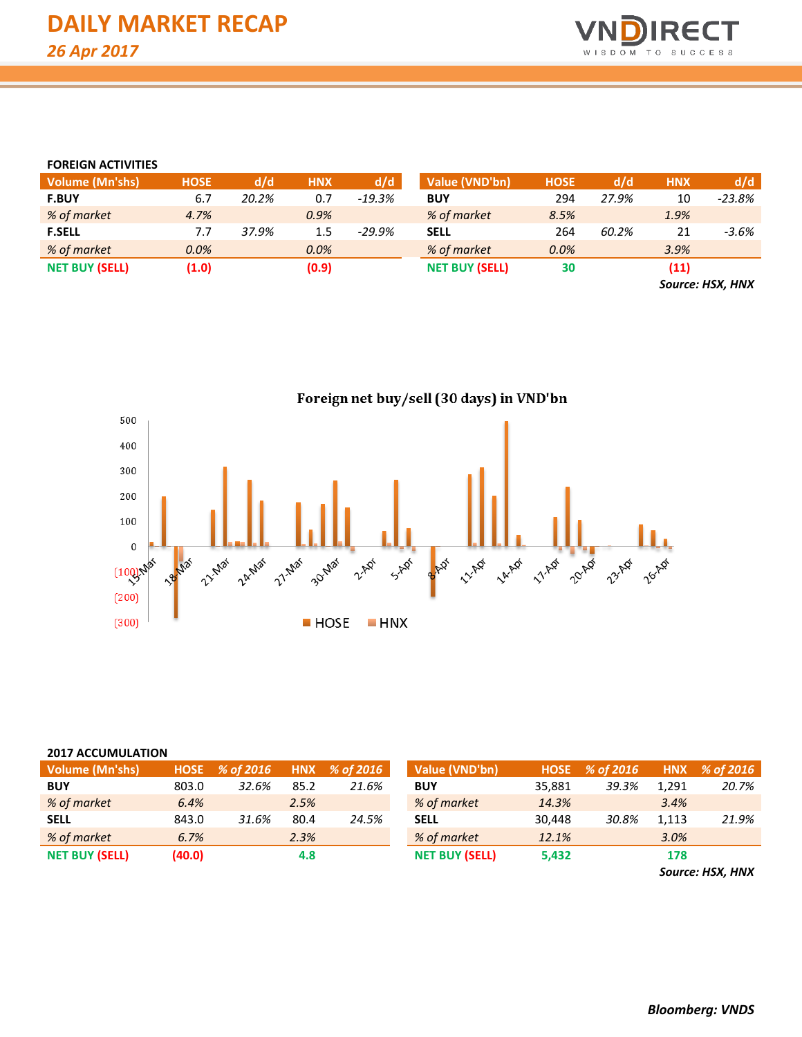

#### **FOREIGN ACTIVITIES**

| <b>Volume (Mn'shs)</b> | <b>HOSE</b> | d/d   | <b>HNX</b> | d/d      | Value (VND'bn)        | <b>HOSE</b> | d/d   | <b>HNX</b> | d/d                                                     |
|------------------------|-------------|-------|------------|----------|-----------------------|-------------|-------|------------|---------------------------------------------------------|
| <b>F.BUY</b>           | 6.7         | 20.2% | 0.7        | $-19.3%$ | <b>BUY</b>            | 294         | 27.9% | 10         | $-23.8%$                                                |
| % of market            | 4.7%        |       | 0.9%       |          | % of market           | 8.5%        |       | 1.9%       |                                                         |
| <b>F.SELL</b>          | 7.7         | 37.9% | 1.5        | $-29.9%$ | <b>SELL</b>           | 264         | 60.2% | 21         | -3.6%                                                   |
| % of market            | 0.0%        |       | 0.0%       |          | % of market           | 0.0%        |       | 3.9%       |                                                         |
| <b>NET BUY (SELL)</b>  | (1.0)       |       | (0.9)      |          | <b>NET BUY (SELL)</b> | 30          |       | (11)       |                                                         |
|                        |             |       |            |          |                       |             |       |            | $\sim$ $\sim$ $\sim$ $\sim$ $\sim$ $\sim$ $\sim$ $\sim$ |

*Source: HSX, HNX*



#### **2017 ACCUMULATION**

| Volume (Mn'shs)       | <b>HOSE</b> | % of 2016 |      | HNX % of 2016 | Value (VND'bn)        | <b>HOSE</b> | % of 2016 | <b>HNX</b> | % of 2016 |
|-----------------------|-------------|-----------|------|---------------|-----------------------|-------------|-----------|------------|-----------|
| <b>BUY</b>            | 803.0       | 32.6%     | 85.2 | 21.6%         | <b>BUY</b>            | 35.881      | 39.3%     | 1.291      | 20.7%     |
| % of market           | 6.4%        |           | 2.5% |               | % of market           | 14.3%       |           | 3.4%       |           |
| <b>SELL</b>           | 843.0       | 31.6%     | 80.4 | 24.5%         | <b>SELL</b>           | 30.448      | 30.8%     | 1.113      | 21.9%     |
| % of market           | 6.7%        |           | 2.3% |               | % of market           | 12.1%       |           | 3.0%       |           |
| <b>NET BUY (SELL)</b> | (40.0)      |           | 4.8  |               | <b>NET BUY (SELL)</b> | 5,432       |           | 178        |           |

*Source: HSX, HNX*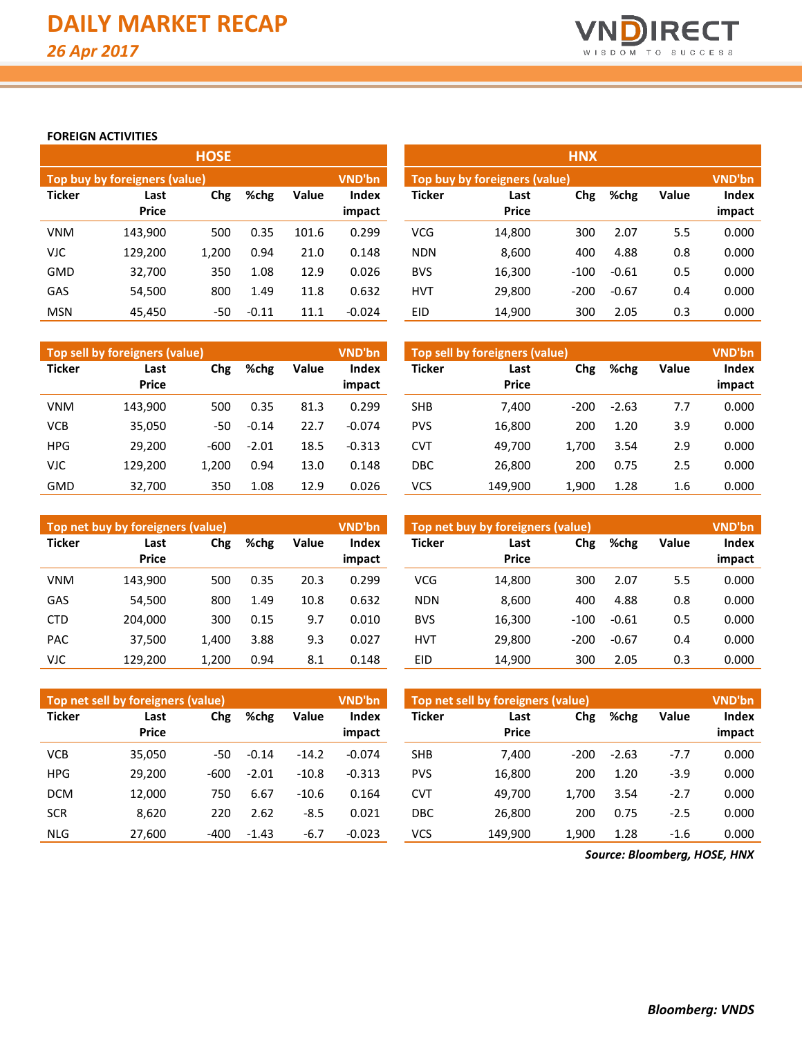

## **FOREIGN ACTIVITIES**

|               |                               | <b>HOSE</b> |         |       |                        | <b>HNX</b>    |                                                |        |         |       |                 |  |  |  |
|---------------|-------------------------------|-------------|---------|-------|------------------------|---------------|------------------------------------------------|--------|---------|-------|-----------------|--|--|--|
|               | Top buy by foreigners (value) |             |         |       | VND'bn                 |               | <b>VND'bn</b><br>Top buy by foreigners (value) |        |         |       |                 |  |  |  |
| <b>Ticker</b> | Last<br><b>Price</b>          | Chg         | %chg    | Value | <b>Index</b><br>impact | <b>Ticker</b> | Last<br><b>Price</b>                           | Chg    | %chg    | Value | Index<br>impact |  |  |  |
| <b>VNM</b>    | 143.900                       | 500         | 0.35    | 101.6 | 0.299                  | <b>VCG</b>    | 14,800                                         | 300    | 2.07    | 5.5   | 0.000           |  |  |  |
| VJC           | 129,200                       | 1.200       | 0.94    | 21.0  | 0.148                  | <b>NDN</b>    | 8,600                                          | 400    | 4.88    | 0.8   | 0.000           |  |  |  |
| <b>GMD</b>    | 32,700                        | 350         | 1.08    | 12.9  | 0.026                  | <b>BVS</b>    | 16,300                                         | $-100$ | $-0.61$ | 0.5   | 0.000           |  |  |  |
| GAS           | 54,500                        | 800         | 1.49    | 11.8  | 0.632                  | HVT           | 29,800                                         | $-200$ | $-0.67$ | 0.4   | 0.000           |  |  |  |
| <b>MSN</b>    | 45,450                        | -50         | $-0.11$ | 11.1  | $-0.024$               | EID           | 14,900                                         | 300    | 2.05    | 0.3   | 0.000           |  |  |  |

|               | Top sell by foreigners (value) |             |         |       | VND'bn          | Top sell by foreigners (value) |                      |        |         |              |                 |
|---------------|--------------------------------|-------------|---------|-------|-----------------|--------------------------------|----------------------|--------|---------|--------------|-----------------|
| <b>Ticker</b> | Last<br><b>Price</b>           | %chg<br>Chg |         | Value | Index<br>impact | <b>Ticker</b>                  | Last<br><b>Price</b> | Chg    | %chg    | <b>Value</b> | Index<br>impact |
| <b>VNM</b>    | 143.900                        | 500         | 0.35    | 81.3  | 0.299           | <b>SHB</b>                     | 7.400                | $-200$ | $-2.63$ | 7.7          | 0.000           |
| <b>VCB</b>    | 35,050                         | -50         | $-0.14$ | 22.7  | $-0.074$        | <b>PVS</b>                     | 16,800               | 200    | 1.20    | 3.9          | 0.000           |
| <b>HPG</b>    | 29,200                         | $-600$      | $-2.01$ | 18.5  | $-0.313$        | CVT                            | 49.700               | 1.700  | 3.54    | 2.9          | 0.000           |
| <b>VJC</b>    | 129.200                        | 1.200       | 0.94    | 13.0  | 0.148           | <b>DBC</b>                     | 26,800               | 200    | 0.75    | 2.5          | 0.000           |
| <b>GMD</b>    | 32.700                         | 350         | 1.08    | 12.9  | 0.026           | VCS                            | 149,900              | 1.900  | 1.28    | 1.6          | 0.000           |

|            | Top net buy by foreigners (value) |       |      |       | VND'bn          | Top net buy by foreigners (value) | <b>VND'bn</b>        |        |         |              |                 |
|------------|-----------------------------------|-------|------|-------|-----------------|-----------------------------------|----------------------|--------|---------|--------------|-----------------|
| Ticker     | Last<br><b>Price</b>              | Chg   | %chg | Value | Index<br>impact | Ticker                            | Last<br><b>Price</b> | Chg    | %chg    | <b>Value</b> | Index<br>impact |
| <b>VNM</b> | 143,900                           | 500   | 0.35 | 20.3  | 0.299           | <b>VCG</b>                        | 14,800               | 300    | 2.07    | 5.5          | 0.000           |
| GAS        | 54.500                            | 800   | 1.49 | 10.8  | 0.632           | <b>NDN</b>                        | 8.600                | 400    | 4.88    | 0.8          | 0.000           |
| <b>CTD</b> | 204.000                           | 300   | 0.15 | 9.7   | 0.010           | <b>BVS</b>                        | 16,300               | $-100$ | $-0.61$ | 0.5          | 0.000           |
| PAC        | 37,500                            | 1,400 | 3.88 | 9.3   | 0.027           | HVT                               | 29,800               | $-200$ | $-0.67$ | 0.4          | 0.000           |
| VJC        | 129,200                           | 1,200 | 0.94 | 8.1   | 0.148           | EID                               | 14.900               | 300    | 2.05    | 0.3          | 0.000           |

|               | Top net sell by foreigners (value) |        |         |         | <b>VND'bn</b>          | Top net sell by foreigners (value) | <b>VND'bn</b>        |        |         |              |                 |  |
|---------------|------------------------------------|--------|---------|---------|------------------------|------------------------------------|----------------------|--------|---------|--------------|-----------------|--|
| <b>Ticker</b> | Last<br><b>Price</b>               | Chg    | %chg    | Value   | <b>Index</b><br>impact | <b>Ticker</b>                      | Last<br><b>Price</b> | Chg    | %chg    | <b>Value</b> | Index<br>impact |  |
|               |                                    |        |         |         |                        |                                    |                      |        |         |              |                 |  |
| <b>VCB</b>    | 35,050                             | -50    | $-0.14$ | $-14.2$ | $-0.074$               | <b>SHB</b>                         | 7.400                | $-200$ | $-2.63$ | $-7.7$       | 0.000           |  |
| <b>HPG</b>    | 29,200                             | $-600$ | $-2.01$ | $-10.8$ | $-0.313$               | <b>PVS</b>                         | 16,800               | 200    | 1.20    | $-3.9$       | 0.000           |  |
| <b>DCM</b>    | 12.000                             | 750    | 6.67    | $-10.6$ | 0.164                  | <b>CVT</b>                         | 49.700               | 1.700  | 3.54    | $-2.7$       | 0.000           |  |
| <b>SCR</b>    | 8,620                              | 220    | 2.62    | $-8.5$  | 0.021                  | DBC                                | 26.800               | 200    | 0.75    | $-2.5$       | 0.000           |  |
| <b>NLG</b>    | 27,600                             | $-400$ | $-1.43$ | $-6.7$  | $-0.023$               | VCS                                | 149.900              | 1.900  | 1.28    | $-1.6$       | 0.000           |  |

*Source: Bloomberg, HOSE, HNX*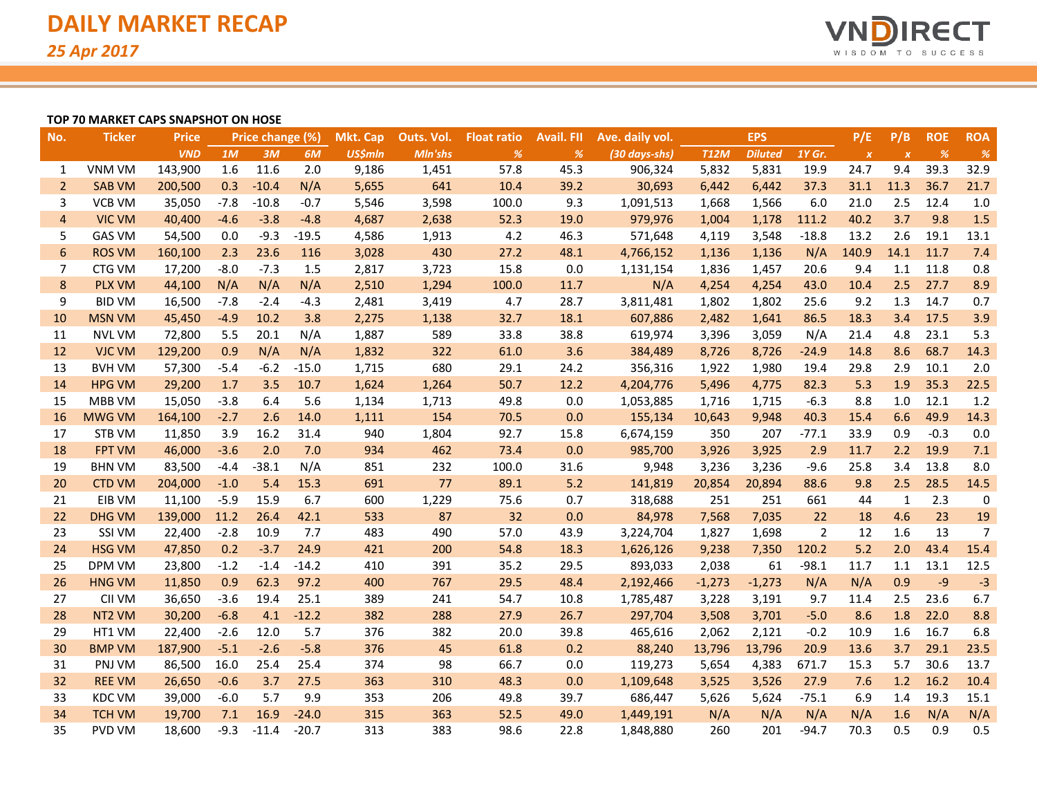

#### **TOP 70 MARKET CAPS SNAPSHOT ON HOSE**

| No.            | <b>Ticker</b> | <b>Price</b> |        | Price change (%) |         | <b>Mkt. Cap</b> | Outs. Vol. | <b>Float ratio</b> | <b>Avail</b> . Fll | Ave. daily vol. |             | <b>EPS</b>     |                | P/E              | P/B              | <b>ROE</b> | <b>ROA</b>     |
|----------------|---------------|--------------|--------|------------------|---------|-----------------|------------|--------------------|--------------------|-----------------|-------------|----------------|----------------|------------------|------------------|------------|----------------|
|                |               | <b>VND</b>   | 1M     | 3M               | 6M      | <b>US\$mln</b>  | Mln'shs    | %                  | %                  | (30 days-shs)   | <b>T12M</b> | <b>Diluted</b> | 1Y Gr.         | $\boldsymbol{X}$ | $\boldsymbol{x}$ | %          | $\%$           |
| 1              | <b>VNM VM</b> | 143,900      | 1.6    | 11.6             | 2.0     | 9,186           | 1,451      | 57.8               | 45.3               | 906,324         | 5,832       | 5,831          | 19.9           | 24.7             | 9.4              | 39.3       | 32.9           |
| $\overline{2}$ | <b>SAB VM</b> | 200,500      | 0.3    | $-10.4$          | N/A     | 5,655           | 641        | 10.4               | 39.2               | 30,693          | 6,442       | 6,442          | 37.3           | 31.1             | 11.3             | 36.7       | 21.7           |
| 3              | <b>VCB VM</b> | 35,050       | $-7.8$ | $-10.8$          | $-0.7$  | 5,546           | 3,598      | 100.0              | 9.3                | 1,091,513       | 1,668       | 1,566          | 6.0            | 21.0             | 2.5              | 12.4       | 1.0            |
| 4              | <b>VIC VM</b> | 40,400       | $-4.6$ | $-3.8$           | $-4.8$  | 4,687           | 2,638      | 52.3               | 19.0               | 979,976         | 1,004       | 1,178          | 111.2          | 40.2             | 3.7              | 9.8        | 1.5            |
| 5              | <b>GAS VM</b> | 54,500       | 0.0    | $-9.3$           | $-19.5$ | 4,586           | 1,913      | 4.2                | 46.3               | 571,648         | 4,119       | 3,548          | $-18.8$        | 13.2             | 2.6              | 19.1       | 13.1           |
| 6              | <b>ROS VM</b> | 160,100      | 2.3    | 23.6             | 116     | 3,028           | 430        | 27.2               | 48.1               | 4,766,152       | 1,136       | 1,136          | N/A            | 140.9            | 14.1             | 11.7       | 7.4            |
| 7              | CTG VM        | 17,200       | $-8.0$ | $-7.3$           | 1.5     | 2,817           | 3,723      | 15.8               | 0.0                | 1,131,154       | 1,836       | 1,457          | 20.6           | 9.4              | 1.1              | 11.8       | 0.8            |
| 8              | <b>PLX VM</b> | 44,100       | N/A    | N/A              | N/A     | 2,510           | 1,294      | 100.0              | 11.7               | N/A             | 4,254       | 4,254          | 43.0           | 10.4             | 2.5              | 27.7       | 8.9            |
| 9              | <b>BID VM</b> | 16,500       | $-7.8$ | $-2.4$           | $-4.3$  | 2,481           | 3,419      | 4.7                | 28.7               | 3,811,481       | 1,802       | 1,802          | 25.6           | 9.2              | 1.3              | 14.7       | 0.7            |
| 10             | <b>MSN VM</b> | 45,450       | $-4.9$ | 10.2             | 3.8     | 2,275           | 1,138      | 32.7               | 18.1               | 607,886         | 2,482       | 1,641          | 86.5           | 18.3             | 3.4              | 17.5       | 3.9            |
| 11             | <b>NVL VM</b> | 72,800       | 5.5    | 20.1             | N/A     | 1,887           | 589        | 33.8               | 38.8               | 619,974         | 3,396       | 3,059          | N/A            | 21.4             | 4.8              | 23.1       | 5.3            |
| 12             | <b>VJC VM</b> | 129,200      | 0.9    | N/A              | N/A     | 1,832           | 322        | 61.0               | 3.6                | 384,489         | 8,726       | 8,726          | -24.9          | 14.8             | 8.6              | 68.7       | 14.3           |
| 13             | <b>BVH VM</b> | 57,300       | $-5.4$ | $-6.2$           | $-15.0$ | 1,715           | 680        | 29.1               | 24.2               | 356,316         | 1,922       | 1,980          | 19.4           | 29.8             | 2.9              | 10.1       | 2.0            |
| 14             | <b>HPG VM</b> | 29,200       | 1.7    | 3.5              | 10.7    | 1,624           | 1,264      | 50.7               | 12.2               | 4,204,776       | 5,496       | 4,775          | 82.3           | 5.3              | 1.9              | 35.3       | 22.5           |
| 15             | MBB VM        | 15,050       | $-3.8$ | 6.4              | 5.6     | 1,134           | 1,713      | 49.8               | 0.0                | 1,053,885       | 1,716       | 1,715          | $-6.3$         | 8.8              | 1.0              | 12.1       | $1.2$          |
| 16             | <b>MWG VM</b> | 164,100      | $-2.7$ | 2.6              | 14.0    | 1,111           | 154        | 70.5               | 0.0                | 155,134         | 10,643      | 9,948          | 40.3           | 15.4             | 6.6              | 49.9       | 14.3           |
| 17             | STB VM        | 11,850       | 3.9    | 16.2             | 31.4    | 940             | 1,804      | 92.7               | 15.8               | 6,674,159       | 350         | 207            | $-77.1$        | 33.9             | 0.9              | $-0.3$     | 0.0            |
| 18             | <b>FPT VM</b> | 46,000       | $-3.6$ | 2.0              | 7.0     | 934             | 462        | 73.4               | 0.0                | 985,700         | 3,926       | 3,925          | 2.9            | 11.7             | 2.2              | 19.9       | 7.1            |
| 19             | <b>BHN VM</b> | 83,500       | $-4.4$ | $-38.1$          | N/A     | 851             | 232        | 100.0              | 31.6               | 9,948           | 3,236       | 3,236          | $-9.6$         | 25.8             | 3.4              | 13.8       | 8.0            |
| 20             | <b>CTD VM</b> | 204,000      | $-1.0$ | 5.4              | 15.3    | 691             | 77         | 89.1               | 5.2                | 141,819         | 20,854      | 20,894         | 88.6           | 9.8              | 2.5              | 28.5       | 14.5           |
| 21             | EIB VM        | 11,100       | $-5.9$ | 15.9             | 6.7     | 600             | 1,229      | 75.6               | 0.7                | 318,688         | 251         | 251            | 661            | 44               | $\mathbf{1}$     | 2.3        | 0              |
| 22             | <b>DHG VM</b> | 139,000      | 11.2   | 26.4             | 42.1    | 533             | 87         | 32                 | 0.0                | 84,978          | 7,568       | 7,035          | 22             | 18               | 4.6              | 23         | 19             |
| 23             | SSI VM        | 22,400       | $-2.8$ | 10.9             | 7.7     | 483             | 490        | 57.0               | 43.9               | 3,224,704       | 1,827       | 1,698          | $\overline{2}$ | 12               | 1.6              | 13         | $\overline{7}$ |
| 24             | <b>HSG VM</b> | 47,850       | 0.2    | $-3.7$           | 24.9    | 421             | 200        | 54.8               | 18.3               | 1,626,126       | 9,238       | 7,350          | 120.2          | 5.2              | 2.0              | 43.4       | 15.4           |
| 25             | DPM VM        | 23,800       | $-1.2$ | $-1.4$           | $-14.2$ | 410             | 391        | 35.2               | 29.5               | 893,033         | 2,038       | 61             | $-98.1$        | 11.7             | 1.1              | 13.1       | 12.5           |
| 26             | <b>HNG VM</b> | 11,850       | 0.9    | 62.3             | 97.2    | 400             | 767        | 29.5               | 48.4               | 2,192,466       | $-1,273$    | $-1,273$       | N/A            | N/A              | 0.9              | $-9$       | $-3$           |
| 27             | CII VM        | 36,650       | $-3.6$ | 19.4             | 25.1    | 389             | 241        | 54.7               | 10.8               | 1,785,487       | 3,228       | 3,191          | 9.7            | 11.4             | 2.5              | 23.6       | 6.7            |
| 28             | NT2 VM        | 30,200       | $-6.8$ | 4.1              | $-12.2$ | 382             | 288        | 27.9               | 26.7               | 297,704         | 3,508       | 3,701          | $-5.0$         | 8.6              | 1.8              | 22.0       | 8.8            |
| 29             | HT1 VM        | 22,400       | $-2.6$ | 12.0             | 5.7     | 376             | 382        | 20.0               | 39.8               | 465,616         | 2,062       | 2,121          | $-0.2$         | 10.9             | 1.6              | 16.7       | 6.8            |
| 30             | <b>BMP VM</b> | 187,900      | $-5.1$ | $-2.6$           | $-5.8$  | 376             | 45         | 61.8               | 0.2                | 88,240          | 13,796      | 13,796         | 20.9           | 13.6             | 3.7              | 29.1       | 23.5           |
| 31             | PNJ VM        | 86,500       | 16.0   | 25.4             | 25.4    | 374             | 98         | 66.7               | 0.0                | 119,273         | 5,654       | 4,383          | 671.7          | 15.3             | 5.7              | 30.6       | 13.7           |
| 32             | <b>REE VM</b> | 26,650       | $-0.6$ | 3.7              | 27.5    | 363             | 310        | 48.3               | 0.0                | 1,109,648       | 3,525       | 3,526          | 27.9           | 7.6              | 1.2              | 16.2       | 10.4           |
| 33             | <b>KDC VM</b> | 39,000       | $-6.0$ | 5.7              | 9.9     | 353             | 206        | 49.8               | 39.7               | 686,447         | 5,626       | 5,624          | $-75.1$        | 6.9              | 1.4              | 19.3       | 15.1           |
| 34             | <b>TCH VM</b> | 19,700       | 7.1    | 16.9             | $-24.0$ | 315             | 363        | 52.5               | 49.0               | 1,449,191       | N/A         | N/A            | N/A            | N/A              | 1.6              | N/A        | N/A            |
| 35             | <b>PVD VM</b> | 18,600       | $-9.3$ | $-11.4$          | $-20.7$ | 313             | 383        | 98.6               | 22.8               | 1,848,880       | 260         | 201            | $-94.7$        | 70.3             | 0.5              | 0.9        | 0.5            |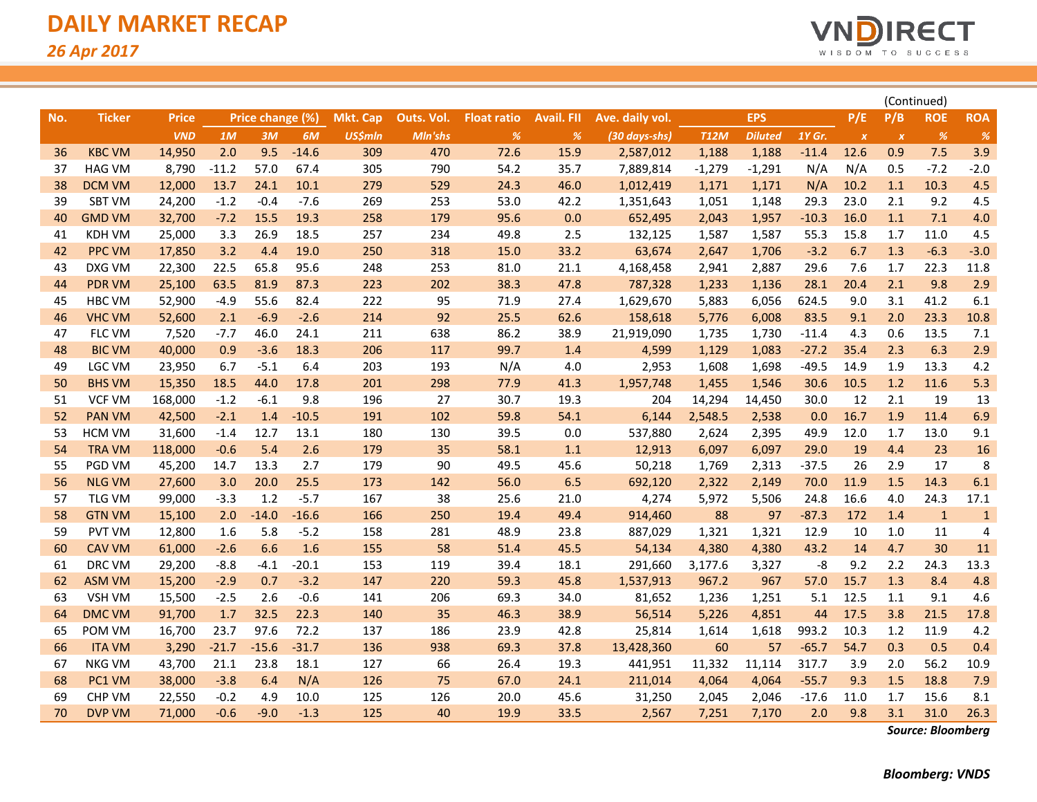

|     |               |              |         |                  |         |                 |            |                    |                   |                 |             |                |         |                  |                           | (Continued)  |              |
|-----|---------------|--------------|---------|------------------|---------|-----------------|------------|--------------------|-------------------|-----------------|-------------|----------------|---------|------------------|---------------------------|--------------|--------------|
| No. | <b>Ticker</b> | <b>Price</b> |         | Price change (%) |         | <b>Mkt. Cap</b> | Outs. Vol. | <b>Float ratio</b> | <b>Avail. FII</b> | Ave. daily vol. |             | <b>EPS</b>     |         | P/E              | P/B                       | <b>ROE</b>   | <b>ROA</b>   |
|     |               | <b>VND</b>   | 1M      | 3M               | 6M      | <b>US\$mln</b>  | Mln'shs    | $\%$               | %                 | (30 days-shs)   | <b>T12M</b> | <b>Diluted</b> | 1Y Gr.  | $\boldsymbol{x}$ | $\boldsymbol{\mathsf{x}}$ | %            | $\%$         |
| 36  | <b>KBC VM</b> | 14,950       | 2.0     | 9.5              | $-14.6$ | 309             | 470        | 72.6               | 15.9              | 2,587,012       | 1,188       | 1,188          | $-11.4$ | 12.6             | 0.9                       | 7.5          | 3.9          |
| 37  | <b>HAG VM</b> | 8,790        | $-11.2$ | 57.0             | 67.4    | 305             | 790        | 54.2               | 35.7              | 7,889,814       | $-1,279$    | $-1,291$       | N/A     | N/A              | 0.5                       | $-7.2$       | $-2.0$       |
| 38  | <b>DCM VM</b> | 12,000       | 13.7    | 24.1             | 10.1    | 279             | 529        | 24.3               | 46.0              | 1,012,419       | 1,171       | 1,171          | N/A     | 10.2             | 1.1                       | 10.3         | 4.5          |
| 39  | <b>SBT VM</b> | 24,200       | $-1.2$  | $-0.4$           | $-7.6$  | 269             | 253        | 53.0               | 42.2              | 1,351,643       | 1,051       | 1,148          | 29.3    | 23.0             | 2.1                       | 9.2          | 4.5          |
| 40  | <b>GMD VM</b> | 32,700       | $-7.2$  | 15.5             | 19.3    | 258             | 179        | 95.6               | 0.0               | 652,495         | 2,043       | 1,957          | $-10.3$ | 16.0             | 1.1                       | 7.1          | 4.0          |
| 41  | KDH VM        | 25,000       | 3.3     | 26.9             | 18.5    | 257             | 234        | 49.8               | 2.5               | 132,125         | 1,587       | 1,587          | 55.3    | 15.8             | 1.7                       | 11.0         | 4.5          |
| 42  | <b>PPC VM</b> | 17,850       | 3.2     | 4.4              | 19.0    | 250             | 318        | 15.0               | 33.2              | 63,674          | 2,647       | 1,706          | $-3.2$  | 6.7              | 1.3                       | $-6.3$       | $-3.0$       |
| 43  | DXG VM        | 22,300       | 22.5    | 65.8             | 95.6    | 248             | 253        | 81.0               | 21.1              | 4,168,458       | 2,941       | 2,887          | 29.6    | 7.6              | 1.7                       | 22.3         | 11.8         |
| 44  | <b>PDR VM</b> | 25,100       | 63.5    | 81.9             | 87.3    | 223             | 202        | 38.3               | 47.8              | 787,328         | 1,233       | 1,136          | 28.1    | 20.4             | 2.1                       | 9.8          | 2.9          |
| 45  | HBC VM        | 52,900       | $-4.9$  | 55.6             | 82.4    | 222             | 95         | 71.9               | 27.4              | 1,629,670       | 5,883       | 6,056          | 624.5   | 9.0              | 3.1                       | 41.2         | 6.1          |
| 46  | <b>VHC VM</b> | 52,600       | 2.1     | $-6.9$           | $-2.6$  | 214             | 92         | 25.5               | 62.6              | 158,618         | 5,776       | 6,008          | 83.5    | 9.1              | 2.0                       | 23.3         | 10.8         |
| 47  | FLC VM        | 7,520        | $-7.7$  | 46.0             | 24.1    | 211             | 638        | 86.2               | 38.9              | 21,919,090      | 1,735       | 1,730          | $-11.4$ | 4.3              | 0.6                       | 13.5         | 7.1          |
| 48  | <b>BIC VM</b> | 40,000       | 0.9     | $-3.6$           | 18.3    | 206             | 117        | 99.7               | 1.4               | 4,599           | 1,129       | 1,083          | $-27.2$ | 35.4             | 2.3                       | 6.3          | 2.9          |
| 49  | LGC VM        | 23,950       | 6.7     | $-5.1$           | 6.4     | 203             | 193        | N/A                | 4.0               | 2,953           | 1,608       | 1,698          | $-49.5$ | 14.9             | 1.9                       | 13.3         | 4.2          |
| 50  | <b>BHS VM</b> | 15,350       | 18.5    | 44.0             | 17.8    | 201             | 298        | 77.9               | 41.3              | 1,957,748       | 1,455       | 1,546          | 30.6    | 10.5             | 1.2                       | 11.6         | 5.3          |
| 51  | <b>VCF VM</b> | 168,000      | $-1.2$  | $-6.1$           | 9.8     | 196             | 27         | 30.7               | 19.3              | 204             | 14,294      | 14,450         | 30.0    | 12               | 2.1                       | 19           | 13           |
| 52  | <b>PAN VM</b> | 42,500       | $-2.1$  | 1.4              | $-10.5$ | 191             | 102        | 59.8               | 54.1              | 6,144           | 2,548.5     | 2,538          | 0.0     | 16.7             | 1.9                       | 11.4         | 6.9          |
| 53  | <b>HCM VM</b> | 31,600       | $-1.4$  | 12.7             | 13.1    | 180             | 130        | 39.5               | 0.0               | 537,880         | 2,624       | 2,395          | 49.9    | 12.0             | 1.7                       | 13.0         | 9.1          |
| 54  | <b>TRA VM</b> | 118,000      | $-0.6$  | 5.4              | 2.6     | 179             | 35         | 58.1               | 1.1               | 12,913          | 6,097       | 6,097          | 29.0    | 19               | 4.4                       | 23           | 16           |
| 55  | PGD VM        | 45,200       | 14.7    | 13.3             | 2.7     | 179             | 90         | 49.5               | 45.6              | 50,218          | 1,769       | 2,313          | $-37.5$ | 26               | 2.9                       | 17           | 8            |
| 56  | <b>NLG VM</b> | 27,600       | 3.0     | 20.0             | 25.5    | 173             | 142        | 56.0               | 6.5               | 692,120         | 2,322       | 2,149          | 70.0    | 11.9             | 1.5                       | 14.3         | 6.1          |
| 57  | TLG VM        | 99,000       | $-3.3$  | 1.2              | $-5.7$  | 167             | 38         | 25.6               | 21.0              | 4,274           | 5,972       | 5,506          | 24.8    | 16.6             | 4.0                       | 24.3         | 17.1         |
| 58  | <b>GTN VM</b> | 15,100       | 2.0     | $-14.0$          | $-16.6$ | 166             | 250        | 19.4               | 49.4              | 914,460         | 88          | 97             | $-87.3$ | 172              | 1.4                       | $\mathbf{1}$ | $\mathbf{1}$ |
| 59  | <b>PVT VM</b> | 12,800       | 1.6     | 5.8              | $-5.2$  | 158             | 281        | 48.9               | 23.8              | 887,029         | 1,321       | 1,321          | 12.9    | 10               | 1.0                       | 11           | 4            |
| 60  | <b>CAV VM</b> | 61,000       | $-2.6$  | 6.6              | 1.6     | 155             | 58         | 51.4               | 45.5              | 54,134          | 4,380       | 4,380          | 43.2    | 14               | 4.7                       | 30           | 11           |
| 61  | DRC VM        | 29,200       | $-8.8$  | $-4.1$           | $-20.1$ | 153             | 119        | 39.4               | 18.1              | 291,660         | 3,177.6     | 3,327          | -8      | 9.2              | 2.2                       | 24.3         | 13.3         |
| 62  | <b>ASM VM</b> | 15,200       | $-2.9$  | 0.7              | $-3.2$  | 147             | 220        | 59.3               | 45.8              | 1,537,913       | 967.2       | 967            | 57.0    | 15.7             | 1.3                       | 8.4          | 4.8          |
| 63  | <b>VSH VM</b> | 15,500       | $-2.5$  | 2.6              | $-0.6$  | 141             | 206        | 69.3               | 34.0              | 81,652          | 1,236       | 1,251          | 5.1     | 12.5             | 1.1                       | 9.1          | 4.6          |
| 64  | <b>DMC VM</b> | 91,700       | 1.7     | 32.5             | 22.3    | 140             | 35         | 46.3               | 38.9              | 56,514          | 5,226       | 4,851          | 44      | 17.5             | 3.8                       | 21.5         | 17.8         |
| 65  | POM VM        | 16,700       | 23.7    | 97.6             | 72.2    | 137             | 186        | 23.9               | 42.8              | 25,814          | 1,614       | 1,618          | 993.2   | 10.3             | 1.2                       | 11.9         | 4.2          |
| 66  | <b>ITA VM</b> | 3,290        | $-21.7$ | $-15.6$          | $-31.7$ | 136             | 938        | 69.3               | 37.8              | 13,428,360      | 60          | 57             | $-65.7$ | 54.7             | 0.3                       | 0.5          | 0.4          |
| 67  | <b>NKG VM</b> | 43,700       | 21.1    | 23.8             | 18.1    | 127             | 66         | 26.4               | 19.3              | 441,951         | 11,332      | 11,114         | 317.7   | 3.9              | 2.0                       | 56.2         | 10.9         |
| 68  | PC1 VM        | 38,000       | $-3.8$  | 6.4              | N/A     | 126             | 75         | 67.0               | 24.1              | 211,014         | 4,064       | 4,064          | $-55.7$ | 9.3              | 1.5                       | 18.8         | 7.9          |
| 69  | <b>CHP VM</b> | 22,550       | $-0.2$  | 4.9              | 10.0    | 125             | 126        | 20.0               | 45.6              | 31,250          | 2,045       | 2,046          | $-17.6$ | 11.0             | 1.7                       | 15.6         | 8.1          |
| 70  | <b>DVP VM</b> | 71,000       | $-0.6$  | $-9.0$           | $-1.3$  | 125             | 40         | 19.9               | 33.5              | 2,567           | 7,251       | 7,170          | 2.0     | 9.8              | 3.1                       | 31.0         | 26.3         |

*Source: Bloomberg*